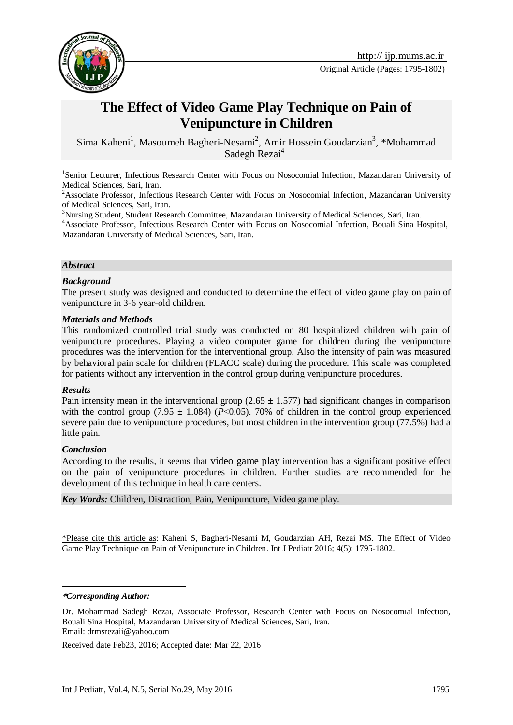

# **The Effect of Video Game Play Technique on Pain of Venipuncture in Children**

Sima Kaheni<sup>1</sup>, Masoumeh Bagheri-Nesami<sup>2</sup>, Amir Hossein Goudarzian<sup>3</sup>, \*Mohammad Sadegh Rezai<sup>4</sup>

<sup>1</sup>Senior Lecturer, Infectious Research Center with Focus on Nosocomial Infection, Mazandaran University of Medical Sciences, Sari, Iran.

<sup>2</sup>Associate Professor, Infectious Research Center with Focus on Nosocomial Infection, Mazandaran University of Medical Sciences, Sari, Iran.

<sup>3</sup>Nursing Student, Student Research Committee, Mazandaran University of Medical Sciences, Sari, Iran.

<sup>4</sup>Associate Professor, Infectious Research Center with Focus on Nosocomial Infection, Bouali Sina Hospital, Mazandaran University of Medical Sciences, Sari, Iran.

#### *Abstract*

#### *Background*

The present study was designed and conducted to determine the effect of video game play on pain of venipuncture in 3-6 year-old children.

#### *Materials and Methods*

This randomized controlled trial study was conducted on 80 hospitalized children with pain of venipuncture procedures. Playing a video computer game for children during the venipuncture procedures was the intervention for the interventional group. Also the intensity of pain was measured by behavioral pain scale for children (FLACC scale) during the procedure. This scale was completed for patients without any intervention in the control group during venipuncture procedures.

#### *Results*

Pain intensity mean in the interventional group  $(2.65 \pm 1.577)$  had significant changes in comparison with the control group (7.95  $\pm$  1.084) ( $P<0.05$ ). 70% of children in the control group experienced severe pain due to venipuncture procedures, but most children in the intervention group (77.5%) had a little pain.

### *Conclusion*

According to the results, it seems that video game play intervention has a significant positive effect on the pain of venipuncture procedures in children. Further studies are recommended for the development of this technique in health care centers.

*Key Words:* Children, Distraction, Pain, Venipuncture, Video game play.

\*Please cite this article as: Kaheni S, Bagheri-Nesami M, Goudarzian AH, Rezai MS. The Effect of Video Game Play Technique on Pain of Venipuncture in Children. Int J Pediatr 2016; 4(5): 1795-1802.

**\****Corresponding Author:*

1

Dr. Mohammad Sadegh Rezai, Associate Professor, Research Center with Focus on Nosocomial Infection, Bouali Sina Hospital, Mazandaran University of Medical Sciences, Sari, Iran. Email: [drmsrezaii@yahoo.com](mailto:drmsrezaii@yahoo.com)

Received date Feb23, 2016; Accepted date: Mar 22, 2016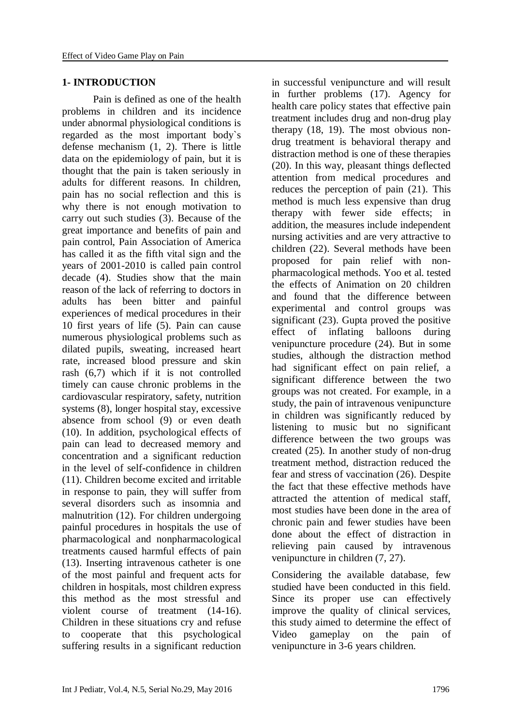## **1- INTRODUCTION**

Pain is defined as one of the health problems in children and its incidence under abnormal physiological conditions is regarded as the most important body`s defense mechanism (1, 2). There is little data on the epidemiology of pain, but it is thought that the pain is taken seriously in adults for different reasons. In children, pain has no social reflection and this is why there is not enough motivation to carry out such studies (3). Because of the great importance and benefits of pain and pain control, Pain Association of America has called it as the fifth vital sign and the years of 2001-2010 is called pain control decade (4). Studies show that the main reason of the lack of referring to doctors in adults has been bitter and painful experiences of medical procedures in their 10 first years of life (5). Pain can cause numerous physiological problems such as dilated pupils, sweating, increased heart rate, increased blood pressure and skin rash (6,7) which if it is not controlled timely can cause chronic problems in the cardiovascular respiratory, safety, nutrition systems (8), longer hospital stay, excessive absence from school (9) or even death (10). In addition, psychological effects of pain can lead to decreased memory and concentration and a significant reduction in the level of self-confidence in children (11). Children become excited and irritable in response to pain, they will suffer from several disorders such as insomnia and malnutrition (12). For children undergoing painful procedures in hospitals the use of pharmacological and nonpharmacological treatments caused harmful effects of pain (13). Inserting intravenous catheter is one of the most painful and frequent acts for children in hospitals, most children express this method as the most stressful and violent course of treatment (14-16). Children in these situations cry and refuse to cooperate that this psychological suffering results in a significant reduction

in successful venipuncture and will result in further problems (17). Agency for health care policy states that effective pain treatment includes drug and non-drug play therapy (18, 19). The most obvious nondrug treatment is behavioral therapy and distraction method is one of these therapies (20). In this way, pleasant things deflected attention from medical procedures and reduces the perception of pain (21). This method is much less expensive than drug therapy with fewer side effects; in addition, the measures include independent nursing activities and are very attractive to children (22). Several methods have been proposed for pain relief with nonpharmacological methods. Yoo et al. tested the effects of Animation on 20 children and found that the difference between experimental and control groups was significant (23). Gupta proved the positive effect of inflating balloons during venipuncture procedure (24). But in some studies, although the distraction method had significant effect on pain relief, a significant difference between the two groups was not created. For example, in a study, the pain of intravenous venipuncture in children was significantly reduced by listening to music but no significant difference between the two groups was created (25). In another study of non-drug treatment method, distraction reduced the fear and stress of vaccination (26). Despite the fact that these effective methods have attracted the attention of medical staff, most studies have been done in the area of chronic pain and fewer studies have been done about the effect of distraction in relieving pain caused by intravenous venipuncture in children (7, 27).

Considering the available database, few studied have been conducted in this field. Since its proper use can effectively improve the quality of clinical services, this study aimed to determine the effect of Video gameplay on the pain of venipuncture in 3-6 years children.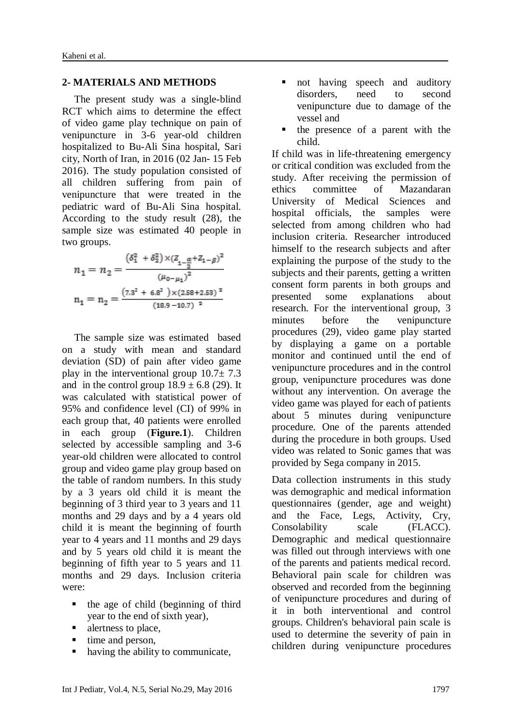## **2- MATERIALS AND METHODS**

The present study was a single-blind RCT which aims to determine the effect of video game play technique on pain of venipuncture in 3-6 year-old children hospitalized to Bu-Ali Sina hospital, Sari city, North of Iran, in 2016 (02 Jan- 15 Feb 2016). The study population consisted of all children suffering from pain of venipuncture that were treated in the pediatric ward of Bu-Ali Sina hospital. According to the study result (28), the sample size was estimated 40 people in two groups.

$$
\begin{gathered} n_1=n_2=\frac{\left(\delta_1^2+\delta_2^2\right){\times} \left(\rm \textbf{Z}_{{1-\frac{\alpha}{2}}}+\rm \textbf{Z}_{{1-\beta}}\right)^2}{\left(\mu_{{0-\mu_1}}\right)^2} \\ n_1=n_2=\frac{\left(7.3^2\,+\,6.8^2\,\,\right){\times} \left(2.58+2.53\right){}^2}{\left(18.9-10.7\right){}^2} \end{gathered}
$$

The sample size was estimated based on a study with mean and standard deviation (SD) of pain after video game play in the interventional group  $10.7 \pm 7.3$ and in the control group  $18.9 \pm 6.8$  (29). It was calculated with statistical power of 95% and confidence level (CI) of 99% in each group that, 40 patients were enrolled in each group (**Figure.1**). Children selected by accessible sampling and 3-6 year-old children were allocated to control group and video game play group based on the table of random numbers. In this study by a 3 years old child it is meant the beginning of 3 third year to 3 years and 11 months and 29 days and by a 4 years old child it is meant the beginning of fourth year to 4 years and 11 months and 29 days and by 5 years old child it is meant the beginning of fifth year to 5 years and 11 months and 29 days. Inclusion criteria were:

- the age of child (beginning of third year to the end of sixth year),
- alertness to place,
- $\blacksquare$  time and person,
- having the ability to communicate,
- not having speech and auditory disorders, need to second venipuncture due to damage of the vessel and
- the presence of a parent with the child.

If child was in life-threatening emergency or critical condition was excluded from the study. After receiving the permission of ethics committee of Mazandaran University of Medical Sciences and hospital officials, the samples were selected from among children who had inclusion criteria. Researcher introduced himself to the research subjects and after explaining the purpose of the study to the subjects and their parents, getting a written consent form parents in both groups and presented some explanations about research. For the interventional group, 3 minutes before the venipuncture procedures (29), video game play started by displaying a game on a portable monitor and continued until the end of venipuncture procedures and in the control group, venipuncture procedures was done without any intervention. On average the video game was played for each of patients about 5 minutes during venipuncture procedure. One of the parents attended during the procedure in both groups. Used video was related to Sonic games that was provided by Sega company in 2015.

Data collection instruments in this study was demographic and medical information questionnaires (gender, age and weight) and the Face, Legs, Activity, Cry, Consolability scale (FLACC). Demographic and medical questionnaire was filled out through interviews with one of the parents and patients medical record. Behavioral pain scale for children was observed and recorded from the beginning of venipuncture procedures and during of it in both interventional and control groups. Children's behavioral pain scale is used to determine the severity of pain in children during venipuncture procedures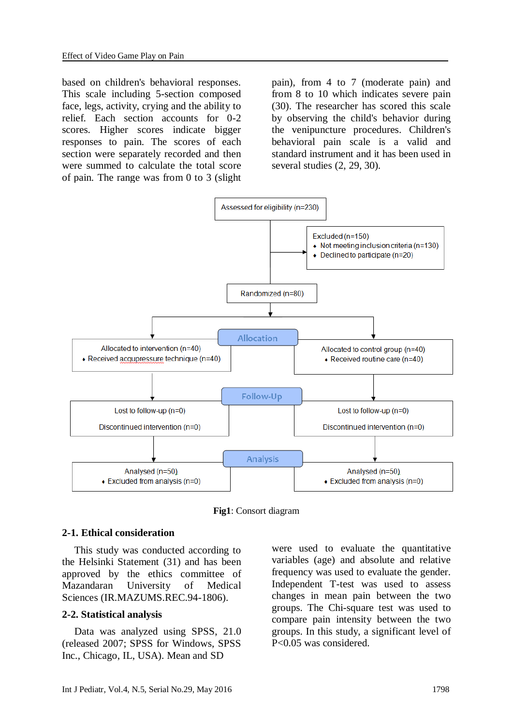based on children's behavioral responses. This scale including 5-section composed face, legs, activity, crying and the ability to relief. Each section accounts for 0-2 scores. Higher scores indicate bigger responses to pain. The scores of each section were separately recorded and then were summed to calculate the total score of pain. The range was from 0 to 3 (slight pain), from 4 to 7 (moderate pain) and from 8 to 10 which indicates severe pain (30). The researcher has scored this scale by observing the child's behavior during the venipuncture procedures. Children's behavioral pain scale is a valid and standard instrument and it has been used in several studies (2, 29, 30).



**Fig1**: Consort diagram

#### **2-1. Ethical consideration**

This study was conducted according to the Helsinki Statement (31) and has been approved by the ethics committee of Mazandaran University of Medical Sciences (IR.MAZUMS.REC.94-1806).

#### **2-2. Statistical analysis**

Data was analyzed using SPSS, 21.0 (released 2007; SPSS for Windows, SPSS Inc., Chicago, IL, USA). Mean and SD

were used to evaluate the quantitative variables (age) and absolute and relative frequency was used to evaluate the gender. Independent T-test was used to assess changes in mean pain between the two groups. The Chi-square test was used to compare pain intensity between the two groups. In this study, a significant level of P<0.05 was considered.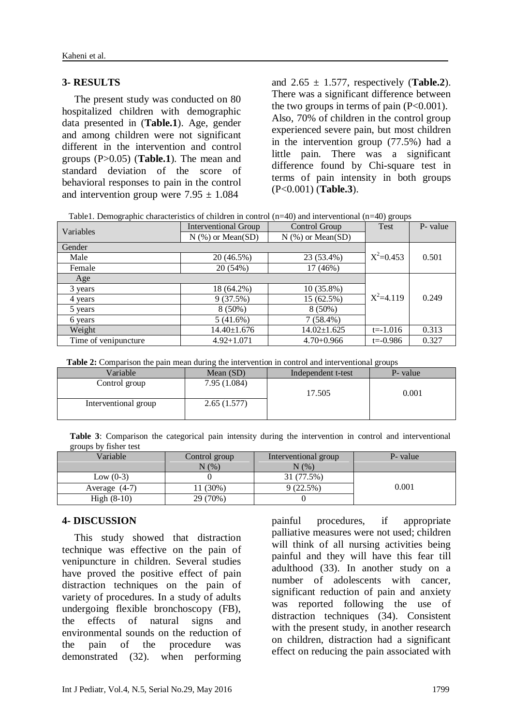# **3- RESULTS**

The present study was conducted on 80 hospitalized children with demographic data presented in (**Table.1**). Age, gender and among children were not significant different in the intervention and control groups (P>0.05) (**Table.1**). The mean and standard deviation of the score of behavioral responses to pain in the control and intervention group were  $7.95 \pm 1.084$ 

and  $2.65 \pm 1.577$ , respectively (**Table.2**). There was a significant difference between the two groups in terms of pain  $(P<0.001)$ . Also, 70% of children in the control group experienced severe pain, but most children in the intervention group (77.5%) had a little pain. There was a significant difference found by Chi-square test in terms of pain intensity in both groups (P<0.001) (**Table.3**).

| Table 1. Demographic characteristics of children in control $(n=40)$ and interventional $(n=40)$ groups |  |
|---------------------------------------------------------------------------------------------------------|--|
|                                                                                                         |  |

| Variables            | <b>Interventional Group</b> | Control Group       | Test         | P- value |
|----------------------|-----------------------------|---------------------|--------------|----------|
|                      | $N$ (%) or Mean(SD)         | $N$ (%) or Mean(SD) |              |          |
| Gender               |                             |                     |              |          |
| Male                 | 20 (46.5%)                  | $X^2=0.453$         | 0.501        |          |
| Female               | 20 (54%)                    | 17 (46%)            |              |          |
| Age                  |                             |                     |              |          |
| 3 years              | 18 (64.2%)                  | $10(35.8\%)$        |              |          |
| 4 years              | 9(37.5%)                    | $X^2 = 4.119$       | 0.249        |          |
| 5 years              | $8(50\%)$                   | $8(50\%)$           |              |          |
| 6 years              | 5(41.6%)                    | $7(58.4\%)$         |              |          |
| Weight               | $14.40 \pm 1.676$           | $14.02 \pm 1.625$   | $t = -1.016$ | 0.313    |
| Time of venipuncture | $4.92 + 1.071$              | $4.70 + 0.966$      | $t = -0.986$ | 0.327    |

**Table 2:** Comparison the pain mean during the intervention in control and interventional groups

| Variable             | Mean $(SD)$  | Independent t-test | P- value |
|----------------------|--------------|--------------------|----------|
| Control group        | 7.95 (1.084) |                    |          |
|                      |              | 17.505             | 0.001    |
| Interventional group | 2.65(1.577)  |                    |          |

|  |                       |  |  |  |  |  | Table 3: Comparison the categorical pain intensity during the intervention in control and interventional |  |
|--|-----------------------|--|--|--|--|--|----------------------------------------------------------------------------------------------------------|--|
|  | groups by fisher test |  |  |  |  |  |                                                                                                          |  |

| $H = 0$<br>Variable | Control group<br>$N(\%)$ | Interventional group<br>N(%) | P- value |
|---------------------|--------------------------|------------------------------|----------|
| Low $(0-3)$         |                          | 31 (77.5%)                   |          |
| Average $(4-7)$     | 11 (30%)                 | 9(22.5%)                     | 0.001    |
| High $(8-10)$       | 29 (70%)                 |                              |          |

### **4- DISCUSSION**

This study showed that distraction technique was effective on the pain of venipuncture in children. Several studies have proved the positive effect of pain distraction techniques on the pain of variety of procedures. In a study of adults undergoing flexible bronchoscopy (FB), the effects of natural signs and environmental sounds on the reduction of the pain of the procedure was demonstrated (32). when performing painful procedures, if appropriate palliative measures were not used; children will think of all nursing activities being painful and they will have this fear till adulthood (33). In another study on a number of adolescents with cancer, significant reduction of pain and anxiety was reported following the use of distraction techniques (34). Consistent with the present study, in another research on children, distraction had a significant effect on reducing the pain associated with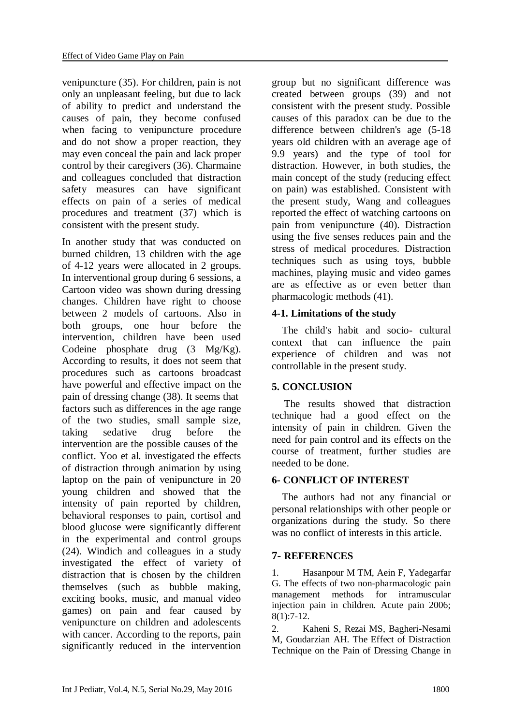venipuncture (35). For children, pain is not only an unpleasant feeling, but due to lack of ability to predict and understand the causes of pain, they become confused when facing to venipuncture procedure and do not show a proper reaction, they may even conceal the pain and lack proper control by their caregivers (36). Charmaine and colleagues concluded that distraction safety measures can have significant effects on pain of a series of medical procedures and treatment (37) which is consistent with the present study.

In another study that was conducted on burned children, 13 children with the age of 4-12 years were allocated in 2 groups. In interventional group during 6 sessions, a Cartoon video was shown during dressing changes. Children have right to choose between 2 models of cartoons. Also in both groups, one hour before the intervention, children have been used Codeine phosphate drug (3 Mg/Kg). According to results, it does not seem that procedures such as cartoons broadcast have powerful and effective impact on the pain of dressing change (38). It seems that factors such as differences in the age range of the two studies, small sample size, taking sedative drug before the intervention are the possible causes of the conflict. Yoo et al. investigated the effects of distraction through animation by using laptop on the pain of venipuncture in 20 young children and showed that the intensity of pain reported by children, behavioral responses to pain, cortisol and blood glucose were significantly different in the experimental and control groups (24). Windich and colleagues in a study investigated the effect of variety of distraction that is chosen by the children themselves (such as bubble making, exciting books, music, and manual video games) on pain and fear caused by venipuncture on children and adolescents with cancer. According to the reports, pain significantly reduced in the intervention group but no significant difference was created between groups (39) and not consistent with the present study. Possible causes of this paradox can be due to the difference between children's age (5-18 years old children with an average age of 9.9 years) and the type of tool for distraction. However, in both studies, the main concept of the study (reducing effect on pain) was established. Consistent with the present study, Wang and colleagues reported the effect of watching cartoons on pain from venipuncture (40). Distraction using the five senses reduces pain and the stress of medical procedures. Distraction techniques such as using toys, bubble machines, playing music and video games are as effective as or even better than pharmacologic methods (41).

# **4-1. Limitations of the study**

 The child's habit and socio- cultural context that can influence the pain experience of children and was not controllable in the present study.

# **5. CONCLUSION**

The results showed that distraction technique had a good effect on the intensity of pain in children. Given the need for pain control and its effects on the course of treatment, further studies are needed to be done.

# **6- CONFLICT OF INTEREST**

 The authors had not any financial or personal relationships with other people or organizations during the study. So there was no conflict of interests in this article.

# **7- REFERENCES**

1. Hasanpour M TM, Aein F, Yadegarfar G. The effects of two non-pharmacologic pain management methods for intramuscular injection pain in children. Acute pain 2006; 8(1):7-12.

2. Kaheni S, Rezai MS, Bagheri-Nesami M, Goudarzian AH. The Effect of Distraction Technique on the Pain of Dressing Change in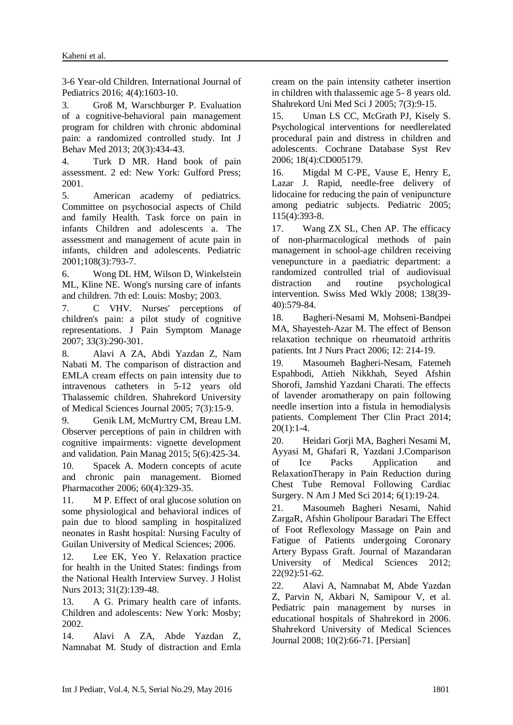3-6 Year-old Children. International Journal of Pediatrics 2016; 4(4):1603-10.

3. Groß M, Warschburger P. Evaluation of a cognitive-behavioral pain management program for children with chronic abdominal pain: a randomized controlled study. Int J Behav Med 2013; 20(3):434-43.

4. Turk D MR. Hand book of pain assessment. 2 ed: New York: Gulford Press; 2001.

5. American academy of pediatrics. Committee on psychosocial aspects of Child and family Health. Task force on pain in infants Children and adolescents a. The assessment and management of acute pain in infants, children and adolescents. Pediatric 2001;108(3):793-7.

6. Wong DL HM, Wilson D, Winkelstein ML, Kline NE. Wong's nursing care of infants and children. 7th ed: Louis: Mosby; 2003.

7. C VHV. Nurses' perceptions of children's pain: a pilot study of cognitive representations. J Pain Symptom Manage 2007; 33(3):290-301.

8. Alavi A ZA, Abdi Yazdan Z, Nam Nabati M. The comparison of distraction and EMLA cream effects on pain intensity due to intravenous catheters in 5-12 years old Thalassemic children. Shahrekord University of Medical Sciences Journal 2005; 7(3):15-9.

9. Genik LM, McMurtry CM, Breau LM. Observer perceptions of pain in children with cognitive impairments: vignette development and validation. Pain Manag 2015; 5(6):425-34.

10. Spacek A. Modern concepts of acute and chronic pain management. Biomed Pharmacother 2006; 60(4):329-35.

11. M P. Effect of oral glucose solution on some physiological and behavioral indices of pain due to blood sampling in hospitalized neonates in Rasht hospital: Nursing Faculty of Guilan University of Medical Sciences; 2006.

12. Lee EK, Yeo Y. Relaxation practice for health in the United States: findings from the National Health Interview Survey. J Holist Nurs 2013; 31(2):139-48.

13. A G. Primary health care of infants. Children and adolescents: New York: Mosby; 2002.

14. Alavi A ZA, Abde Yazdan Z, Namnabat M. Study of distraction and Emla cream on the pain intensity catheter insertion in children with thalassemic age 5- 8 years old. Shahrekord Uni Med Sci J 2005; 7(3):9-15.

15. Uman LS CC, McGrath PJ, Kisely S. Psychological interventions for needlerelated procedural pain and distress in children and adolescents. Cochrane Database Syst Rev 2006; 18(4):CD005179.

16. Migdal M C-PE, Vause E, Henry E, Lazar J. Rapid, needle-free delivery of lidocaine for reducing the pain of venipuncture among pediatric subjects. Pediatric 2005; 115(4):393-8.

17. Wang ZX SL, Chen AP. The efficacy of non-pharmacological methods of pain management in school-age children receiving venepuncture in a paediatric department: a randomized controlled trial of audiovisual distraction and routine psychological intervention. Swiss Med Wkly 2008; 138(39- 40):579-84.

18. Bagheri-Nesami M, Mohseni-Bandpei MA, Shayesteh-Azar M. The effect of Benson relaxation technique on rheumatoid arthritis patients. Int J Nurs Pract 2006; 12: 214-19.

19. Masoumeh Bagheri-Nesam, Fatemeh Espahbodi, Attieh Nikkhah, Seyed Afshin Shorofi, Jamshid Yazdani Charati. The effects of lavender aromatherapy on pain following needle insertion into a fistula in hemodialysis patients. Complement Ther Clin Pract 2014;  $20(1):1-4.$ 

20. Heidari Gorji MA, Bagheri Nesami M, Ayyasi M, Ghafari R, Yazdani J.Comparison of Ice Packs Application and RelaxationTherapy in Pain Reduction during Chest Tube Removal Following Cardiac Surgery. N Am J Med Sci 2014; 6(1):19-24.

21. Masoumeh Bagheri Nesami, Nahid ZargaR, Afshin Gholipour Baradari The Effect of Foot Reflexology Massage on Pain and Fatigue of Patients undergoing Coronary Artery Bypass Graft. Journal of Mazandaran University of Medical Sciences 2012; 22(92):51-62.

22. Alavi A, Namnabat M, Abde Yazdan Z, Parvin N, Akbari N, Samipour V, et al. Pediatric pain management by nurses in educational hospitals of Shahrekord in 2006. Shahrekord University of Medical Sciences Journal 2008; 10(2):66-71. [Persian]